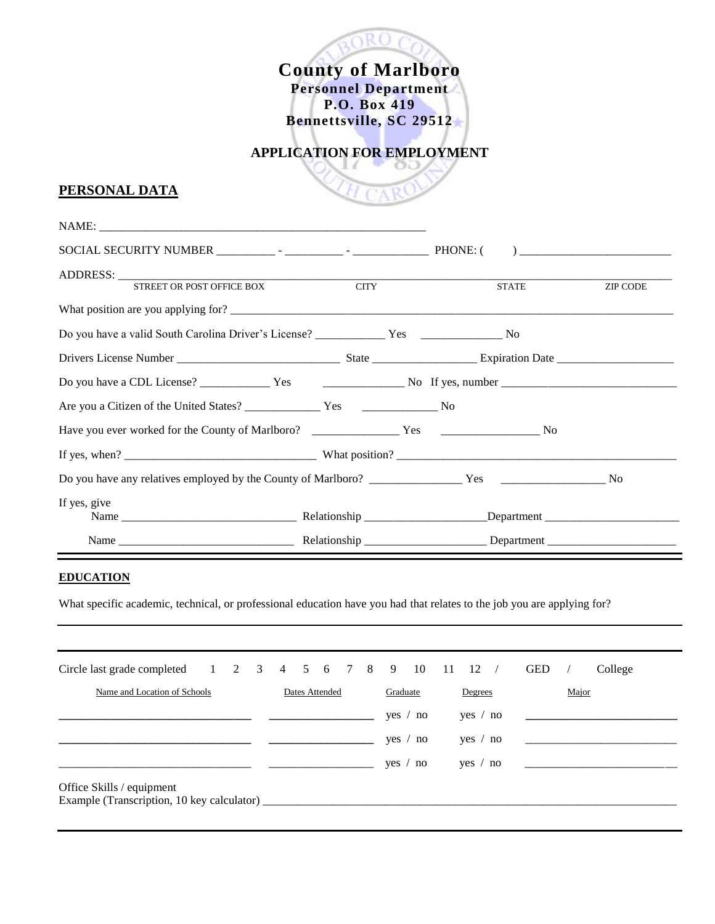**County of Marlboro Personnel Department P.O. Box 419 Bennettsville, SC 29512**

# **APPLICATION FOR EMPLOYMENT**

## **PERSONAL DATA**

| STREET OR POST OFFICE BOX | <b>CITY</b> | <b>STATE</b> | <b>ZIP CODE</b> |
|---------------------------|-------------|--------------|-----------------|
|                           |             |              |                 |
|                           |             |              |                 |
|                           |             |              |                 |
|                           |             |              |                 |
|                           |             |              |                 |
|                           |             |              |                 |
|                           |             |              |                 |
|                           |             |              |                 |
| If yes, give              |             |              |                 |
|                           |             |              |                 |
|                           |             |              |                 |

### **EDUCATION**

What specific academic, technical, or professional education have you had that relates to the job you are applying for?

| Circle last grade completed 1 2 3 4 5 6 7 8 9 10 11 12                              |  |  |  |  |                |          |  |  |         |                |       |          | $\sqrt{2}$ | <b>GED</b> |  | College |
|-------------------------------------------------------------------------------------|--|--|--|--|----------------|----------|--|--|---------|----------------|-------|----------|------------|------------|--|---------|
| Name and Location of Schools                                                        |  |  |  |  | Dates Attended | Graduate |  |  | Degrees |                | Major |          |            |            |  |         |
|                                                                                     |  |  |  |  |                |          |  |  | yes     | $^{\prime}$ no |       | yes / no |            |            |  |         |
|                                                                                     |  |  |  |  |                |          |  |  | yes.    | no             |       | yes /    | no         |            |  |         |
|                                                                                     |  |  |  |  |                |          |  |  | yes /   | no             |       | yes / no |            |            |  |         |
| Office Skills / equipment<br>Example (Transcription, 10 key calculator) ___________ |  |  |  |  |                |          |  |  |         |                |       |          |            |            |  |         |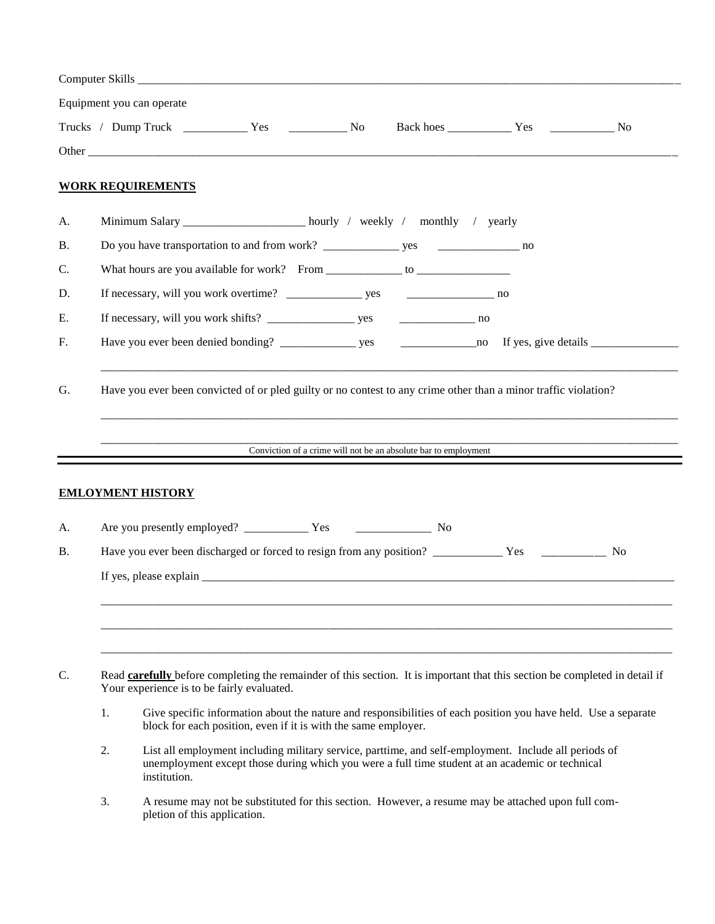|           |    | Equipment you can operate                  |                                                                     |  |                                                                                                                                                                                                                                                                                                                                                                                                                                   |  |
|-----------|----|--------------------------------------------|---------------------------------------------------------------------|--|-----------------------------------------------------------------------------------------------------------------------------------------------------------------------------------------------------------------------------------------------------------------------------------------------------------------------------------------------------------------------------------------------------------------------------------|--|
|           |    |                                            |                                                                     |  |                                                                                                                                                                                                                                                                                                                                                                                                                                   |  |
|           |    |                                            |                                                                     |  |                                                                                                                                                                                                                                                                                                                                                                                                                                   |  |
|           |    | <b>WORK REQUIREMENTS</b>                   |                                                                     |  |                                                                                                                                                                                                                                                                                                                                                                                                                                   |  |
| A.        |    |                                            | Minimum Salary _________________ hourly / weekly / monthly / yearly |  |                                                                                                                                                                                                                                                                                                                                                                                                                                   |  |
| <b>B.</b> |    |                                            |                                                                     |  |                                                                                                                                                                                                                                                                                                                                                                                                                                   |  |
| C.        |    |                                            |                                                                     |  |                                                                                                                                                                                                                                                                                                                                                                                                                                   |  |
| D.        |    |                                            |                                                                     |  |                                                                                                                                                                                                                                                                                                                                                                                                                                   |  |
| Е.        |    |                                            |                                                                     |  |                                                                                                                                                                                                                                                                                                                                                                                                                                   |  |
| F.        |    |                                            |                                                                     |  | $\frac{1}{\sqrt{1-\frac{1}{\sqrt{1-\frac{1}{\sqrt{1-\frac{1}{\sqrt{1-\frac{1}{\sqrt{1-\frac{1}{\sqrt{1-\frac{1}{\sqrt{1-\frac{1}{\sqrt{1-\frac{1}{\sqrt{1-\frac{1}{\sqrt{1-\frac{1}{\sqrt{1-\frac{1}{\sqrt{1-\frac{1}{\sqrt{1-\frac{1}{\sqrt{1-\frac{1}{\sqrt{1-\frac{1}{\sqrt{1-\frac{1}{\sqrt{1-\frac{1}{\sqrt{1-\frac{1}{\sqrt{1-\frac{1}{\sqrt{1-\frac{1}{\sqrt{1-\frac{1}{\sqrt{1-\frac{1}{\sqrt{1-\frac{1}{\sqrt{1-\frac{1$ |  |
|           |    |                                            |                                                                     |  | Conviction of a crime will not be an absolute bar to employment                                                                                                                                                                                                                                                                                                                                                                   |  |
|           |    | <b>EMLOYMENT HISTORY</b>                   |                                                                     |  |                                                                                                                                                                                                                                                                                                                                                                                                                                   |  |
| A.        |    |                                            |                                                                     |  |                                                                                                                                                                                                                                                                                                                                                                                                                                   |  |
| <b>B.</b> |    |                                            |                                                                     |  |                                                                                                                                                                                                                                                                                                                                                                                                                                   |  |
|           |    |                                            |                                                                     |  |                                                                                                                                                                                                                                                                                                                                                                                                                                   |  |
| C.        |    | Your experience is to be fairly evaluated. |                                                                     |  | Read carefully before completing the remainder of this section. It is important that this section be completed in detail if                                                                                                                                                                                                                                                                                                       |  |
|           | 1. |                                            | block for each position, even if it is with the same employer.      |  | Give specific information about the nature and responsibilities of each position you have held. Use a separate                                                                                                                                                                                                                                                                                                                    |  |
|           | 2. | institution.                               |                                                                     |  | List all employment including military service, parttime, and self-employment. Include all periods of<br>unemployment except those during which you were a full time student at an academic or technical                                                                                                                                                                                                                          |  |
|           | 3. | pletion of this application.               |                                                                     |  | A resume may not be substituted for this section. However, a resume may be attached upon full com-                                                                                                                                                                                                                                                                                                                                |  |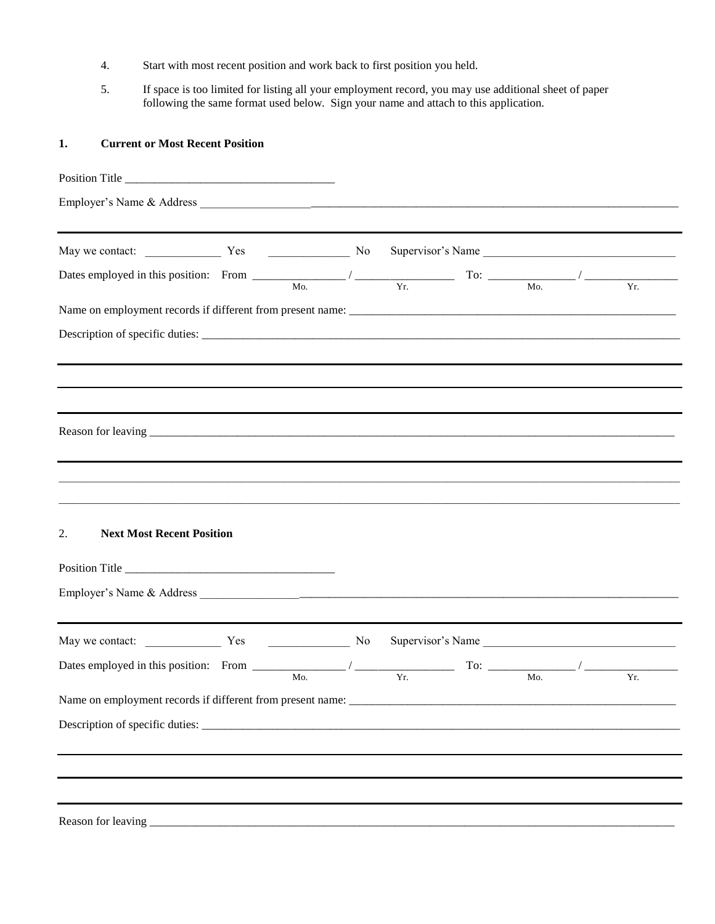- 4. Start with most recent position and work back to first position you held.
- 5. If space is too limited for listing all your employment record, you may use additional sheet of paper following the same format used below. Sign your name and attach to this application.

#### **1. Current or Most Recent Position**

| Dates employed in this position: From $\frac{M_{0.}}{M_{0.}}$ / $\frac{V_{r.}}{V_{r.}}$ To: $\frac{M_{0.}}{M_{0.}}$ / $\frac{V_{r.}}{V_{r.}}$ |  |                   |  |  |
|-----------------------------------------------------------------------------------------------------------------------------------------------|--|-------------------|--|--|
|                                                                                                                                               |  |                   |  |  |
| Description of specific duties:                                                                                                               |  |                   |  |  |
|                                                                                                                                               |  |                   |  |  |
|                                                                                                                                               |  |                   |  |  |
|                                                                                                                                               |  |                   |  |  |
|                                                                                                                                               |  |                   |  |  |
|                                                                                                                                               |  |                   |  |  |
| <b>Next Most Recent Position</b><br>2.                                                                                                        |  |                   |  |  |
|                                                                                                                                               |  |                   |  |  |
| May we contact: <u>Nesan State of</u> No                                                                                                      |  | Supervisor's Name |  |  |
| Dates employed in this position: From $\frac{M_0}{M_0}$ / $\frac{V_T}{V_T}$ To: $\frac{M_0}{M_0}$ / $\frac{V_T}{V_T}$                         |  |                   |  |  |
|                                                                                                                                               |  |                   |  |  |
|                                                                                                                                               |  |                   |  |  |
|                                                                                                                                               |  |                   |  |  |
|                                                                                                                                               |  |                   |  |  |
| Reason for leaving                                                                                                                            |  |                   |  |  |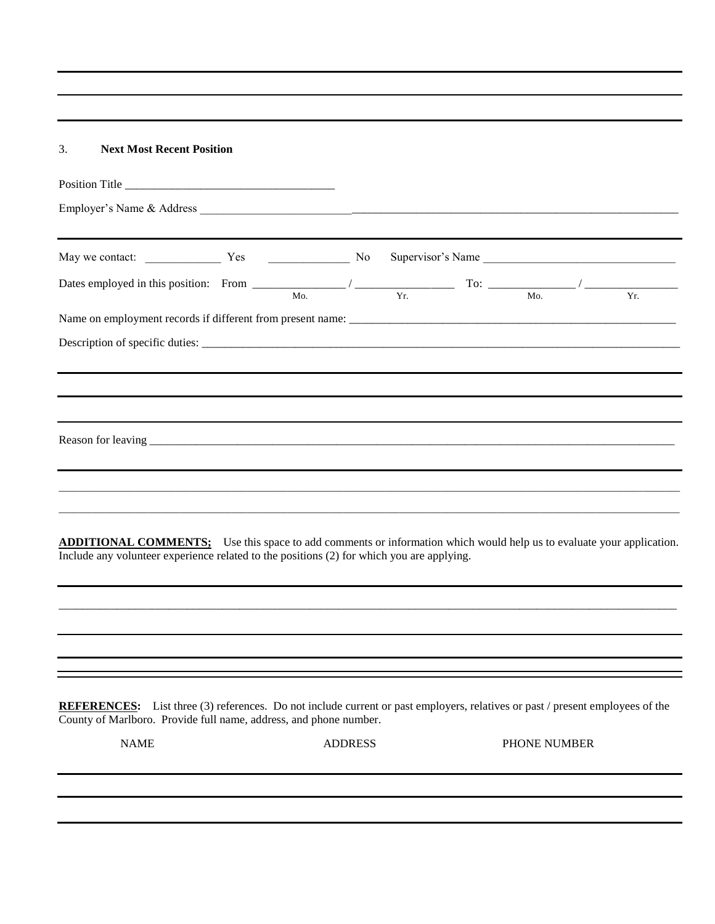3. **Next Most Recent Position**

|             | Dates employed in this position: From $\frac{M_{0.}}{M_{0.}}$ / $\frac{V_{T.}}{V_{T.}}$ To: $\frac{M_{0.}}{M_{0.}}$ / $\frac{V_{T.}}{V_{T.}}$                                                                            |                |  |              |  |
|-------------|--------------------------------------------------------------------------------------------------------------------------------------------------------------------------------------------------------------------------|----------------|--|--------------|--|
|             |                                                                                                                                                                                                                          |                |  |              |  |
|             |                                                                                                                                                                                                                          |                |  |              |  |
|             |                                                                                                                                                                                                                          |                |  |              |  |
|             |                                                                                                                                                                                                                          |                |  |              |  |
|             | <b>ADDITIONAL COMMENTS:</b> Use this space to add comments or information which would help us to evaluate your application.<br>Include any volunteer experience related to the positions (2) for which you are applying. |                |  |              |  |
|             |                                                                                                                                                                                                                          |                |  |              |  |
|             |                                                                                                                                                                                                                          |                |  |              |  |
|             | <b>REFERENCES:</b> List three (3) references. Do not include current or past employers, relatives or past / present employees of the<br>County of Marlboro. Provide full name, address, and phone number.                |                |  |              |  |
| <b>NAME</b> |                                                                                                                                                                                                                          | <b>ADDRESS</b> |  | PHONE NUMBER |  |
|             |                                                                                                                                                                                                                          |                |  |              |  |